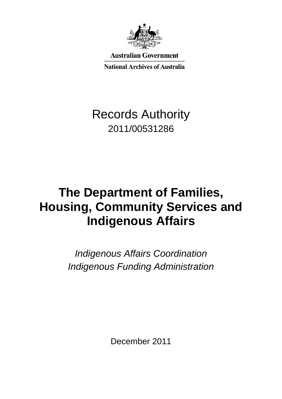

**Australian Government** 

**National Archives of Australia** 

## Records Authority 2011/00531286

# **The Department of Families, Housing, Community Services and Indigenous Affairs**

*Indigenous Affairs Coordination Indigenous Funding Administration*

December 2011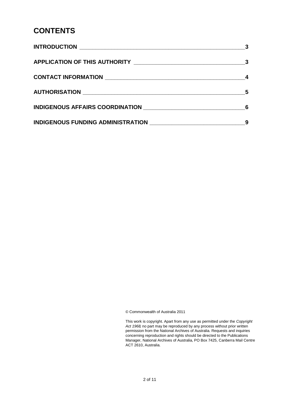### **CONTENTS**

|                                                                | 5 |
|----------------------------------------------------------------|---|
| INDIGENOUS AFFAIRS COORDINATION ______________________________ |   |
|                                                                |   |

© Commonwealth of Australia 2011

 This work is copyright. Apart from any use as permitted under the *Copyright Act 1968,* no part may be reproduced by any process without prior written permission from the National Archives of Australia. Requests and inquiries concerning reproduction and rights should be directed to the Publications Manager, National Archives of Australia, PO Box 7425, Canberra Mail Centre ACT 2610, Australia.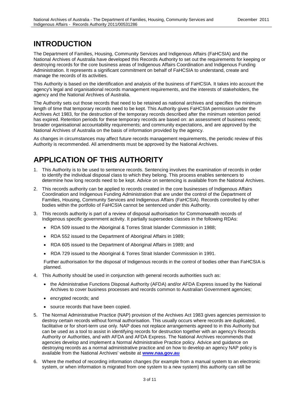### **INTRODUCTION**

 National Archives of Australia have developed this Records Authority to set out the requirements for keeping or The Department of Families, Housing, Community Services and Indigenous Affairs (FaHCSIA) and the destroying records for the core business areas of Indigenous Affairs Coordination and Indigenous Funding Administration. It represents a significant commitment on behalf of FaHCSIA to understand, create and manage the records of its activities.

 This Authority is based on the identification and analysis of the business of FaHCSIA. It takes into account the agency's legal and organisational records management requirements, and the interests of stakeholders, the agency and the National Archives of Australia.

 Archives Act 1983, for the destruction of the temporary records described after the minimum retention period National Archives of Australia on the basis of information provided by the agency. The Authority sets out those records that need to be retained as national archives and specifies the minimum length of time that temporary records need to be kept. This Authority gives FaHCSIA permission under the has expired. Retention periods for these temporary records are based on: an assessment of business needs; broader organisational accountability requirements; and community expectations, and are approved by the

 Authority is recommended. All amendments must be approved by the National Archives. As changes in circumstances may affect future records management requirements, the periodic review of this

## **APPLICATION OF THIS AUTHORITY**

- 1. This Authority is to be used to sentence records. Sentencing involves the examination of records in order to identify the individual disposal class to which they belong. This process enables sentencers to determine how long records need to be kept. Advice on sentencing is available from the National Archives.
- 2. This records authority can be applied to records created in the core businesses of Indigenous Affairs Families, Housing, Community Services and Indigenous Affairs (FaHCSIA). Records controlled by other bodies within the portfolio of FaHCSIA cannot be sentenced under this Authority. Coordination and Indigenous Funding Administration that are under the control of the Department of
- 3. This records authority is part of a review of disposal authorisation for Commonwealth records of Indigenous specific government activity. It partially supersedes classes in the following RDAs:
	- RDA 509 issued to the Aboriginal & Torres Strait Islander Commission in 1988;
	- RDA 552 issued to the Department of Aboriginal Affairs in 1989;
	- RDA 605 issued to the Department of Aboriginal Affairs in 1989; and
	- RDA 729 issued to the Aboriginal & Torres Strait Islander Commission in 1991.

Further authorisation for the disposal of Indigenous records in the control of bodies other than FaHCSIA is planned.

- 4. This Authority should be used in conjunction with general records authorities such as:
	- the Administrative Functions Disposal Authority (AFDA) and/or AFDA Express issued by the National Archives to cover business processes and records common to Australian Government agencies;
	- encrypted records; and
	- source records that have been copied.
- can be used as a tool to assist in identifying records for destruction together with an agency's Records destroying records as a normal administrative practice and on how to develop an agency NAP policy is available from the National Archives' website at **[www.naa.gov.au](http://www.naa.gov.au/)**  5. The Normal Administrative Practice (NAP) provision of the Archives Act 1983 gives agencies permission to destroy certain records without formal authorisation. This usually occurs where records are duplicated, facilitative or for short-term use only. NAP does not replace arrangements agreed to in this Authority but Authority or Authorities, and with AFDA and AFDA Express. The National Archives recommends that agencies develop and implement a Normal Administrative Practice policy. Advice and guidance on
- system, or when information is migrated from one system to a new system) this authority can still be 6. Where the method of recording information changes (for example from a manual system to an electronic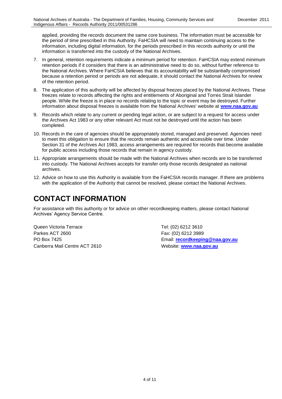information is transferred into the custody of the National Archives. applied, providing the records document the same core business. The information must be accessible for the period of time prescribed in this Authority. FaHCSIA will need to maintain continuing access to the information, including digital information, for the periods prescribed in this records authority or until the

- because a retention period or periods are not adequate, it should contact the National Archives for review 7. In general, retention requirements indicate a minimum period for retention. FaHCSIA may extend minimum retention periods if it considers that there is an administrative need to do so, without further reference to the National Archives. Where FaHCSIA believes that its accountability will be substantially compromised of the retention period.
- 8. The application of this authority will be affected by disposal freezes placed by the National Archives. These information about disposal freezes is available from the National Archives' website at **[www.naa.gov.au](http://www.naa.gov.au/)** freezes relate to records affecting the rights and entitlements of Aboriginal and Torres Strait Islander people. While the freeze is in place no records relating to the topic or event may be destroyed. Further
- 9. Records which relate to any current or pending legal action, or are subject to a request for access under the Archives Act 1983 or any other relevant Act must not be destroyed until the action has been completed.
- 10. Records in the care of agencies should be appropriately stored, managed and preserved. Agencies need to meet this obligation to ensure that the records remain authentic and accessible over time. Under Section 31 of the Archives Act 1983, access arrangements are required for records that become available for public access including those records that remain in agency custody.
- 11. Appropriate arrangements should be made with the National Archives when records are to be transferred into custody. The National Archives accepts for transfer only those records designated as national archives.
- 12. Advice on how to use this Authority is available from the FaHCSIA records manager. If there are problems with the application of the Authority that cannot be resolved, please contact the National Archives.

## **CONTACT INFORMATION**

 Archives' Agency Service Centre. For assistance with this authority or for advice on other recordkeeping matters, please contact National

Queen Victoria Terrace Tel: (02) 6212 3610 Parkes ACT 2600 Fax: (02) 6212 3989 Canberra Mail Centre ACT 2610 Website: **[www.naa.gov.au](http://www.naa.gov.au/)** 

PO Box 7425 Email: **[recordkeeping@naa.gov.au](mailto:recordkeeping@naa.gov.au)**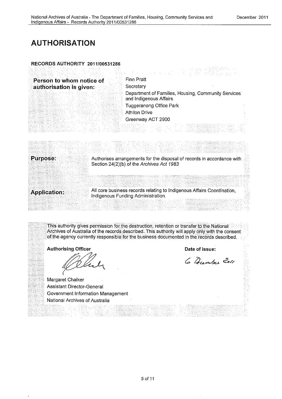### **AUTHORISATION**

### **RECORDS AUTHORITY 2011/00531286**

**Person to whom notice of Finn Pratt**<br>**Property Authorization is given:** Secretary **authorisation is given:** 

Department of Families, Housing, Community Services and Indigenous Affairs Tuggeranong Office Park Athllon Drive Greenway ACT 2900

**Purpose:** Authorises arrangements for the disposal of records in accordance with Section 24(2)(b) of the Archives Act 1983

All core business records relating to Indigenous Affairs Coordination, **Application:** Indigenous Funding Administration.

This authority gives permission for the destruction, retention or transfer to the National Archives of Australia of the records. described. This authority will apply only with the consent of the agency currently responsible for the business documented in the records described.

**Authorising Officer** 

**Date of issue:** 

6 Danser Zoll

Margaret Chalker Assistant Director-General Government Information Management National Archives of Australia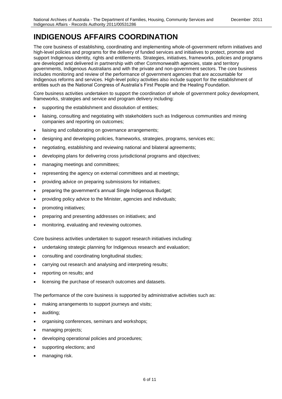### **INDIGENOUS AFFAIRS COORDINATION**

 high-level policies and programs for the delivery of funded services and initiatives to protect, promote and are developed and delivered in partnership with other Commonwealth agencies, state and territory governments, Indigenous Australians and with the private and non-government sectors. The core business includes monitoring and review of the performance of government agencies that are accountable for The core business of establishing, coordinating and implementing whole-of-government reform initiatives and support Indigenous identity, rights and entitlements. Strategies, initiatives, frameworks, policies and programs Indigenous reforms and services. High-level policy activities also include support for the establishment of entities such as the National Congress of Australia's First People and the Healing Foundation.

Core business activities undertaken to support the coordination of whole of government policy development, frameworks, strategies and service and program delivery including:

- supporting the establishment and dissolution of entities;
- liaising, consulting and negotiating with stakeholders such as Indigenous communities and mining companies and reporting on outcomes;
- liaising and collaborating on governance arrangements;
- designing and developing policies, frameworks, strategies, programs, services etc;
- negotiating, establishing and reviewing national and bilateral agreements;
- developing plans for delivering cross jurisdictional programs and objectives;
- managing meetings and committees;
- representing the agency on external committees and at meetings;
- providing advice on preparing submissions for initiatives;
- preparing the government's annual Single Indigenous Budget;
- providing policy advice to the Minister, agencies and individuals;
- promoting initiatives;
- preparing and presenting addresses on initiatives; and
- monitoring, evaluating and reviewing outcomes.

Core business activities undertaken to support research initiatives including:

- undertaking strategic planning for Indigenous research and evaluation;
- consulting and coordinating longitudinal studies;
- carrying out research and analysing and interpreting results;
- reporting on results; and
- licensing the purchase of research outcomes and datasets.

The performance of the core business is supported by administrative activities such as:

- making arrangements to support journeys and visits;
- auditing;
- organising conferences, seminars and workshops;
- managing projects;
- developing operational policies and procedures;
- supporting elections; and
- managing risk.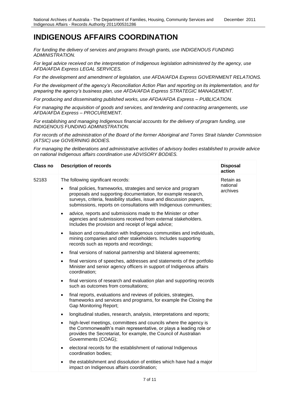### **INDIGENOUS AFFAIRS COORDINATION**

*For funding the delivery of services and programs through grants, use INDIGENOUS FUNDING ADMINISTRATION.* 

 *For legal advice received on the interpretation of Indigenous legislation administered by the agency, use AFDA/AFDA Express LEGAL SERVICES.* 

*For the development and amendment of legislation, use AFDA/AFDA Express GOVERNMENT RELATIONS.* 

 *For the development of the agency's Reconciliation Action Plan and reporting on its implementation, and for preparing the agency's business plan, use AFDA/AFDA Express STRATEGIC MANAGEMENT.* 

 *For producing and disseminating published works, use AFDA/AFDA Express – PUBLICATION.* 

 *For managing the acquisition of goods and services, and tendering and contracting arrangements, use AFDA/AFDA Express – PROCUREMENT.* 

*For establishing and managing Indigenous financial accounts for the delivery of program funding, use INDIGENOUS FUNDING ADMINISTRATION.* 

 *For records of the administration of the Board of the former Aboriginal and Torres Strait Islander Commission (ATSIC) use GOVERNING BODIES.* 

For managing the deliberations and administrative activities of advisory bodies established to provide advice *on national Indigenous affairs coordination use ADVISORY BODIES.* 

| <b>Class no</b> | <b>Description of records</b>                                                                                                                                                                                                                                                              | <b>Disposal</b><br>action |
|-----------------|--------------------------------------------------------------------------------------------------------------------------------------------------------------------------------------------------------------------------------------------------------------------------------------------|---------------------------|
| 52183           | The following significant records:                                                                                                                                                                                                                                                         | Retain as                 |
|                 | final policies, frameworks, strategies and service and program<br>$\bullet$<br>proposals and supporting documentation, for example research,<br>surveys, criteria, feasibility studies, issue and discussion papers,<br>submissions, reports on consultations with Indigenous communities; | national<br>archives      |
|                 | advice, reports and submissions made to the Minister or other<br>$\bullet$<br>agencies and submissions received from external stakeholders.<br>Includes the provision and receipt of legal advice;                                                                                         |                           |
|                 | liaison and consultation with Indigenous communities and individuals,<br>$\bullet$<br>mining companies and other stakeholders. Includes supporting<br>records such as reports and recordings;                                                                                              |                           |
|                 | final versions of national partnership and bilateral agreements;<br>$\bullet$                                                                                                                                                                                                              |                           |
|                 | final versions of speeches, addresses and statements of the portfolio<br>$\bullet$<br>Minister and senior agency officers in support of Indigenous affairs<br>coordination;                                                                                                                |                           |
|                 | final versions of research and evaluation plan and supporting records<br>$\bullet$<br>such as outcomes from consultations;                                                                                                                                                                 |                           |
|                 | final reports, evaluations and reviews of policies, strategies,<br>$\bullet$<br>frameworks and services and programs, for example the Closing the<br><b>Gap Monitoring Report;</b>                                                                                                         |                           |
|                 | longitudinal studies, research, analysis, interpretations and reports;<br>$\bullet$                                                                                                                                                                                                        |                           |
|                 | high-level meetings, committees and councils where the agency is<br>$\bullet$<br>the Commonwealth's main representative, or plays a leading role or<br>provides the Secretariat, for example, the Council of Australian<br>Governments (COAG);                                             |                           |
|                 | electoral records for the establishment of national Indigenous<br>$\bullet$<br>coordination bodies;                                                                                                                                                                                        |                           |
|                 | the establishment and dissolution of entities which have had a major<br>impact on Indigenous affairs coordination;                                                                                                                                                                         |                           |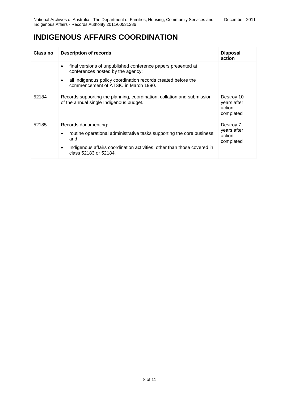### **INDIGENOUS AFFAIRS COORDINATION**

| Class no | Description of records                                                                                                                                                                                                               | <b>Disposal</b><br>action                        |
|----------|--------------------------------------------------------------------------------------------------------------------------------------------------------------------------------------------------------------------------------------|--------------------------------------------------|
|          | final versions of unpublished conference papers presented at<br>$\bullet$<br>conferences hosted by the agency;<br>all Indigenous policy coordination records created before the<br>$\bullet$<br>commencement of ATSIC in March 1990. |                                                  |
| 52184    | Records supporting the planning, coordination, collation and submission<br>of the annual single Indigenous budget.                                                                                                                   | Destroy 10<br>years after<br>action<br>completed |
| 52185    | Records documenting:<br>routine operational administrative tasks supporting the core business;<br>and<br>Indigenous affairs coordination activities, other than those covered in<br>٠<br>class 52183 or 52184.                       | Destroy 7<br>years after<br>action<br>completed  |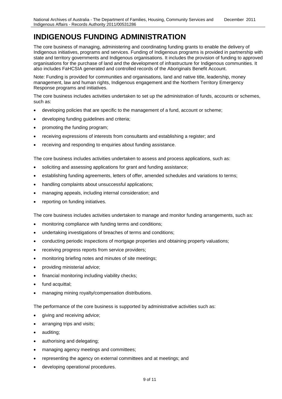### **INDIGENOUS FUNDING ADMINISTRATION**

 The core business of managing, administering and coordinating funding grants to enable the delivery of Indigenous initiatives, programs and services. Funding of Indigenous programs is provided in partnership with state and territory governments and Indigenous organisations. It includes the provision of funding to approved organisations for the purchase of land and the development of infrastructure for Indigenous communities. It also includes FaHCSIA generated and controlled records of the Aboriginals Benefit Account.

Note: Funding is provided for communities and organisations, land and native title, leadership, money management, law and human rights, Indigenous engagement and the Northern Territory Emergency Response programs and initiatives.

The core business includes activities undertaken to set up the administration of funds, accounts or schemes, such as:

- developing policies that are specific to the management of a fund, account or scheme;
- developing funding guidelines and criteria;
- promoting the funding program;
- receiving expressions of interests from consultants and establishing a register; and
- receiving and responding to enquiries about funding assistance.

The core business includes activities undertaken to assess and process applications, such as:

- soliciting and assessing applications for grant and funding assistance;
- establishing funding agreements, letters of offer, amended schedules and variations to terms;
- handling complaints about unsuccessful applications;
- managing appeals, including internal consideration; and
- reporting on funding initiatives.

The core business includes activities undertaken to manage and monitor funding arrangements, such as:

- monitoring compliance with funding terms and conditions;
- undertaking investigations of breaches of terms and conditions;
- conducting periodic inspections of mortgage properties and obtaining property valuations;
- receiving progress reports from service providers;
- monitoring briefing notes and minutes of site meetings;
- providing ministerial advice;
- financial monitoring including viability checks;
- fund acquittal;
- managing mining royalty/compensation distributions.

The performance of the core business is supported by administrative activities such as:

- giving and receiving advice;
- arranging trips and visits;
- auditing;
- authorising and delegating;
- managing agency meetings and committees;
- representing the agency on external committees and at meetings; and
- developing operational procedures.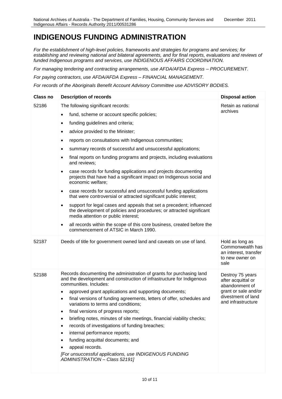### **INDIGENOUS FUNDING ADMINISTRATION**

establishing and reviewing national and bilateral agreements, and for final reports, evaluations and reviews of *For the establishment of high-level policies, frameworks and strategies for programs and services; for funded Indigenous programs and services, use INDIGENOUS AFFAIRS COORDINATION.* 

 *For managing tendering and contracting arrangements, use AFDA/AFDA Express – PROCUREMENT.*

 *For paying contractors, use AFDA/AFDA Express – FINANCIAL MANAGEMENT.*

 *For records of the Aboriginals Benefit Account Advisory Committee use ADVISORY BODIES.*

| <b>Class no</b> | <b>Description of records</b>                                                                                                                                                                                                                                                                                                                                                                                                                                                                                                                                                                                                                                                                                      | <b>Disposal action</b>                                                                                                       |
|-----------------|--------------------------------------------------------------------------------------------------------------------------------------------------------------------------------------------------------------------------------------------------------------------------------------------------------------------------------------------------------------------------------------------------------------------------------------------------------------------------------------------------------------------------------------------------------------------------------------------------------------------------------------------------------------------------------------------------------------------|------------------------------------------------------------------------------------------------------------------------------|
| 52186           | The following significant records:                                                                                                                                                                                                                                                                                                                                                                                                                                                                                                                                                                                                                                                                                 | Retain as national<br>archives                                                                                               |
|                 | fund, scheme or account specific policies;<br>$\bullet$                                                                                                                                                                                                                                                                                                                                                                                                                                                                                                                                                                                                                                                            |                                                                                                                              |
|                 | funding guidelines and criteria;<br>$\bullet$                                                                                                                                                                                                                                                                                                                                                                                                                                                                                                                                                                                                                                                                      |                                                                                                                              |
|                 | advice provided to the Minister;                                                                                                                                                                                                                                                                                                                                                                                                                                                                                                                                                                                                                                                                                   |                                                                                                                              |
|                 | reports on consultations with Indigenous communities;<br>$\bullet$                                                                                                                                                                                                                                                                                                                                                                                                                                                                                                                                                                                                                                                 |                                                                                                                              |
|                 | summary records of successful and unsuccessful applications;<br>$\bullet$                                                                                                                                                                                                                                                                                                                                                                                                                                                                                                                                                                                                                                          |                                                                                                                              |
|                 | final reports on funding programs and projects, including evaluations<br>and reviews;                                                                                                                                                                                                                                                                                                                                                                                                                                                                                                                                                                                                                              |                                                                                                                              |
|                 | case records for funding applications and projects documenting<br>$\bullet$<br>projects that have had a significant impact on Indigenous social and<br>economic welfare;                                                                                                                                                                                                                                                                                                                                                                                                                                                                                                                                           |                                                                                                                              |
|                 | case records for successful and unsuccessful funding applications<br>$\bullet$<br>that were controversial or attracted significant public interest;                                                                                                                                                                                                                                                                                                                                                                                                                                                                                                                                                                |                                                                                                                              |
|                 | support for legal cases and appeals that set a precedent; influenced<br>the development of policies and procedures; or attracted significant<br>media attention or public interest;                                                                                                                                                                                                                                                                                                                                                                                                                                                                                                                                |                                                                                                                              |
|                 | all records within the scope of this core business, created before the<br>$\bullet$<br>commencement of ATSIC in March 1990.                                                                                                                                                                                                                                                                                                                                                                                                                                                                                                                                                                                        |                                                                                                                              |
| 52187           | Deeds of title for government owned land and caveats on use of land.                                                                                                                                                                                                                                                                                                                                                                                                                                                                                                                                                                                                                                               | Hold as long as<br>Commonwealth has<br>an interest, transfer<br>to new owner on<br>sale                                      |
| 52188           | Records documenting the administration of grants for purchasing land<br>and the development and construction of infrastructure for Indigenous<br>communities. Includes:<br>approved grant applications and supporting documents;<br>$\bullet$<br>final versions of funding agreements, letters of offer, schedules and<br>variations to terms and conditions;<br>final versions of progress reports;<br>briefing notes, minutes of site meetings, financial viability checks;<br>records of investigations of funding breaches;<br>internal performance reports;<br>funding acquittal documents; and<br>appeal records.<br>[For unsuccessful applications, use INDIGENOUS FUNDING<br>ADMINISTRATION - Class 52191] | Destroy 75 years<br>after acquittal or<br>abandonment of<br>grant or sale and/or<br>divestment of land<br>and infrastructure |